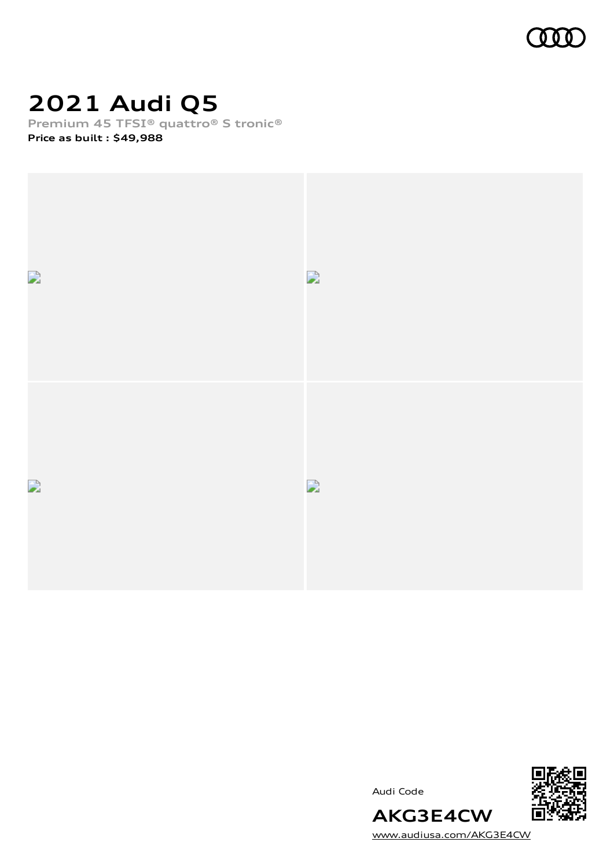

# **2021 Audi Q5**

**Premium 45 TFSI® quattro® S tronic®**

**Price as built [:](#page-10-0) \$49,988**



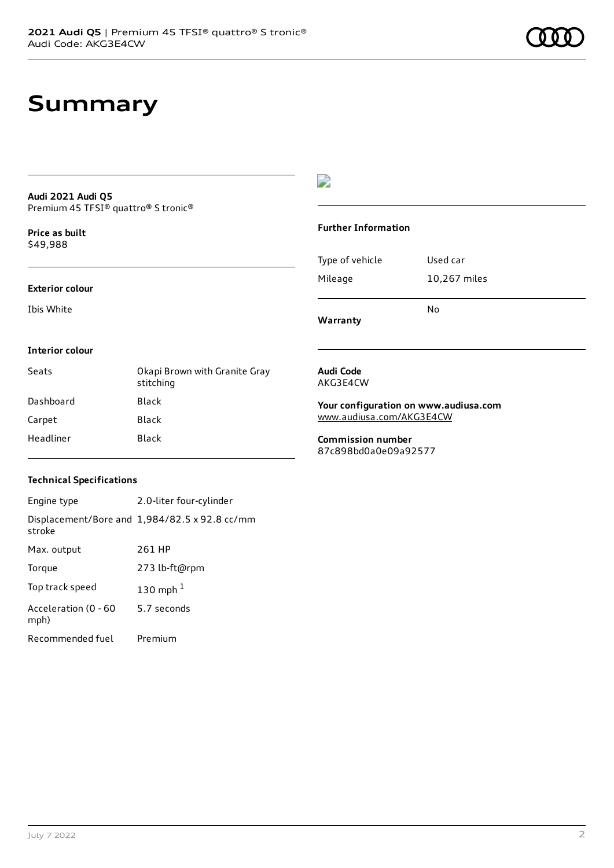## **Summary**

#### **Audi 2021 Audi Q5** Premium 45 TFSI® quattro® S tronic®

**Price as buil[t](#page-10-0)** \$49,988

### **Exterior colour**

Ibis White

### $\overline{\phantom{a}}$

#### **Further Information**

|                 | N٥           |
|-----------------|--------------|
| Mileage         | 10,267 miles |
| Type of vehicle | Used car     |

**Warranty**

#### **Interior colour**

| Seats     | Okapi Brown with Granite Gray<br>stitching |
|-----------|--------------------------------------------|
| Dashboard | Black                                      |
| Carpet    | Black                                      |
| Headliner | Black                                      |

#### **Audi Code** AKG3E4CW

**Your configuration on www.audiusa.com**

[www.audiusa.com/AKG3E4CW](https://www.audiusa.com/AKG3E4CW)

**Commission number** 87c898bd0a0e09a92577

### **Technical Specifications**

| Engine type                  | 2.0-liter four-cylinder                              |
|------------------------------|------------------------------------------------------|
| stroke                       | Displacement/Bore and $1,984/82.5 \times 92.8$ cc/mm |
| Max. output                  | 261 HP                                               |
| Torque                       | 273 lb-ft@rpm                                        |
| Top track speed              | 130 mph $1$                                          |
| Acceleration (0 - 60<br>mph) | 5.7 seconds                                          |
| Recommended fuel             | Premium                                              |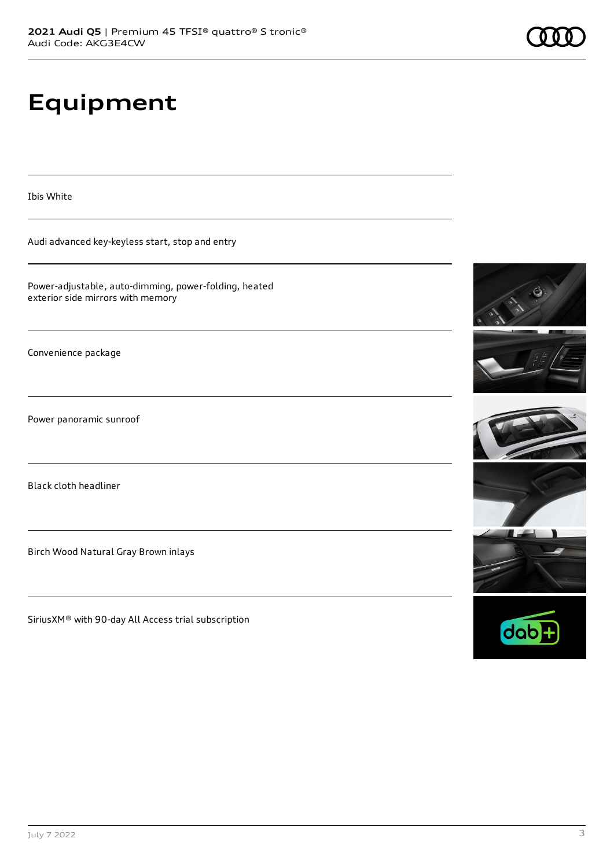# **Equipment**

Ibis White

Audi advanced key-keyless start, stop and entry

Power-adjustable, auto-dimming, power-folding, heated exterior side mirrors with memory

Convenience package

Power panoramic sunroof

Black cloth headliner

Birch Wood Natural Gray Brown inlays

SiriusXM® with 90-day All Access trial subscription











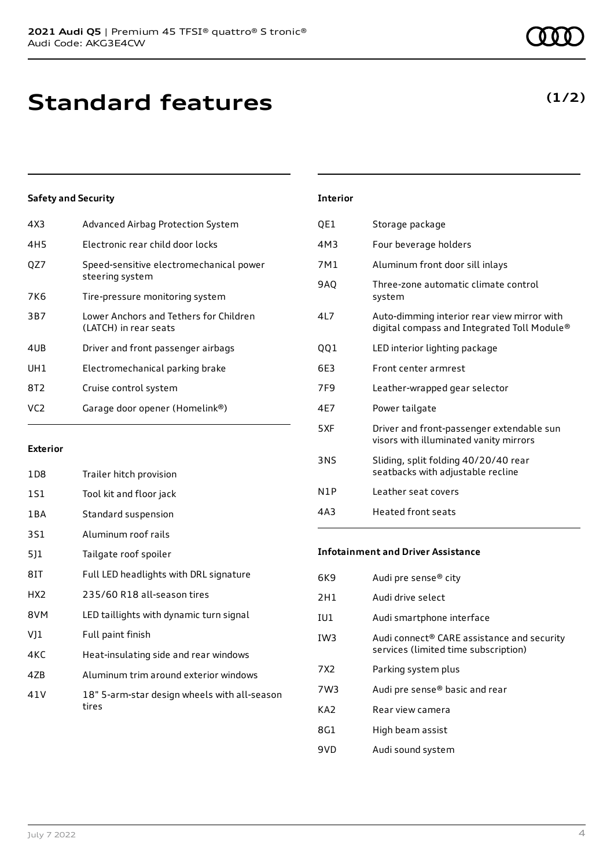# **Standard features**

### **Safety and Security**

| 4X3 | Advanced Airbag Protection System                               |
|-----|-----------------------------------------------------------------|
| 4H5 | Electronic rear child door locks                                |
| QZ7 | Speed-sensitive electromechanical power<br>steering system      |
| 7K6 | Tire-pressure monitoring system                                 |
| 3B7 | Lower Anchors and Tethers for Children<br>(LATCH) in rear seats |
| 4UB | Driver and front passenger airbags                              |
| UH1 | Electromechanical parking brake                                 |
| 8T2 | Cruise control system                                           |
| VC2 | Garage door opener (Homelink®)                                  |
|     |                                                                 |

#### **Exterior**

| 1D8             | Trailer hitch provision                               |
|-----------------|-------------------------------------------------------|
| 1S1             | Tool kit and floor jack                               |
| 1 B A           | Standard suspension                                   |
| 3S1             | Aluminum roof rails                                   |
| 5]1             | Tailgate roof spoiler                                 |
| 8IT             | Full LED headlights with DRL signature                |
| HX <sub>2</sub> | 235/60 R18 all-season tires                           |
| 8VM             | LED taillights with dynamic turn signal               |
| VJ1             | Full paint finish                                     |
| 4KC             | Heat-insulating side and rear windows                 |
| 4ZB             | Aluminum trim around exterior windows                 |
| 41 V            | 18" 5-arm-star design wheels with all-season<br>tires |
|                 |                                                       |

### **Interior** QE1 Storage package

|     | , corage package                                                                           |
|-----|--------------------------------------------------------------------------------------------|
| 4M3 | Four beverage holders                                                                      |
| 7M1 | Aluminum front door sill inlays                                                            |
| 9AQ | Three-zone automatic climate control<br>system                                             |
| 4L7 | Auto-dimming interior rear view mirror with<br>digital compass and Integrated Toll Module® |
| QQ1 | LED interior lighting package                                                              |
| 6E3 | Front center armrest                                                                       |
| 7F9 | Leather-wrapped gear selector                                                              |
| 4E7 | Power tailgate                                                                             |
| 5XF | Driver and front-passenger extendable sun<br>visors with illuminated vanity mirrors        |
| 3NS | Sliding, split folding 40/20/40 rear<br>seatbacks with adjustable recline                  |
| N1P | Leather seat covers                                                                        |
| 4A3 | <b>Heated front seats</b>                                                                  |
|     |                                                                                            |

#### **Infotainment and Driver Assistance**

| 6K9             | Audi pre sense <sup>®</sup> city                                                   |
|-----------------|------------------------------------------------------------------------------------|
| 2H1             | Audi drive select                                                                  |
| IU1             | Audi smartphone interface                                                          |
| IW <sub>3</sub> | Audi connect® CARE assistance and security<br>services (limited time subscription) |
| 7 X 2           | Parking system plus                                                                |
| 7W3             | Audi pre sense® basic and rear                                                     |
| KA2             | Rear view camera                                                                   |
| 8G1             | High beam assist                                                                   |
| 9VD             | Audi sound system                                                                  |

### **(1/2)**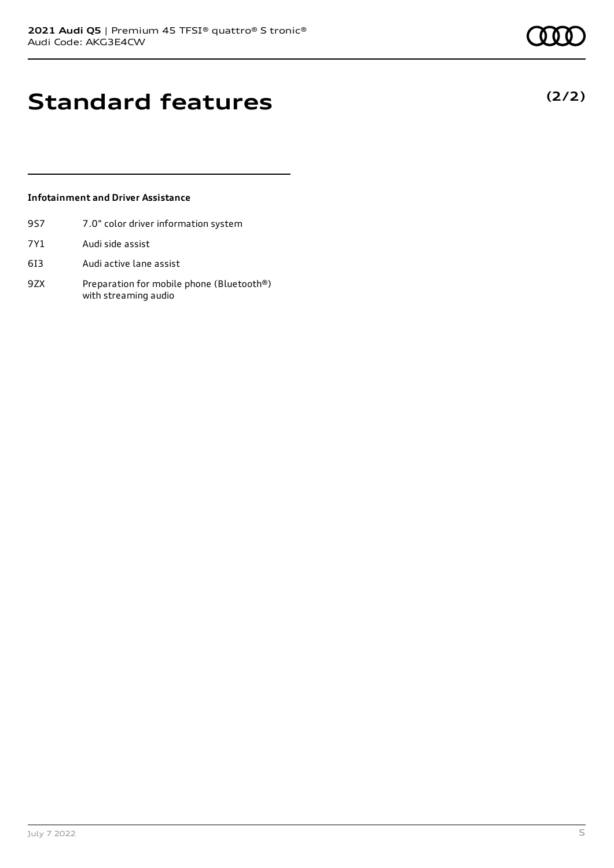**(2/2)**

## **Standard features**

### **Infotainment and Driver Assistance**

- 9S7 7.0" color driver information system
- 7Y1 Audi side assist
- 6I3 Audi active lane assist
- 9ZX Preparation for mobile phone (Bluetooth®) with streaming audio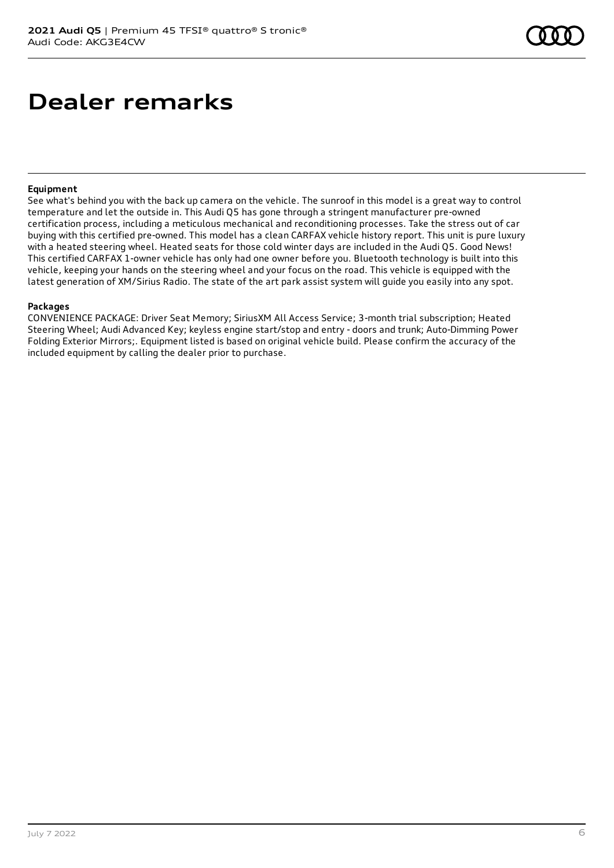### **Dealer remarks**

#### **Equipment**

See what's behind you with the back up camera on the vehicle. The sunroof in this model is a great way to control temperature and let the outside in. This Audi Q5 has gone through a stringent manufacturer pre-owned certification process, including a meticulous mechanical and reconditioning processes. Take the stress out of car buying with this certified pre-owned. This model has a clean CARFAX vehicle history report. This unit is pure luxury with a heated steering wheel. Heated seats for those cold winter days are included in the Audi Q5. Good News! This certified CARFAX 1-owner vehicle has only had one owner before you. Bluetooth technology is built into this vehicle, keeping your hands on the steering wheel and your focus on the road. This vehicle is equipped with the latest generation of XM/Sirius Radio. The state of the art park assist system will guide you easily into any spot.

#### **Packages**

CONVENIENCE PACKAGE: Driver Seat Memory; SiriusXM All Access Service; 3-month trial subscription; Heated Steering Wheel; Audi Advanced Key; keyless engine start/stop and entry - doors and trunk; Auto-Dimming Power Folding Exterior Mirrors;. Equipment listed is based on original vehicle build. Please confirm the accuracy of the included equipment by calling the dealer prior to purchase.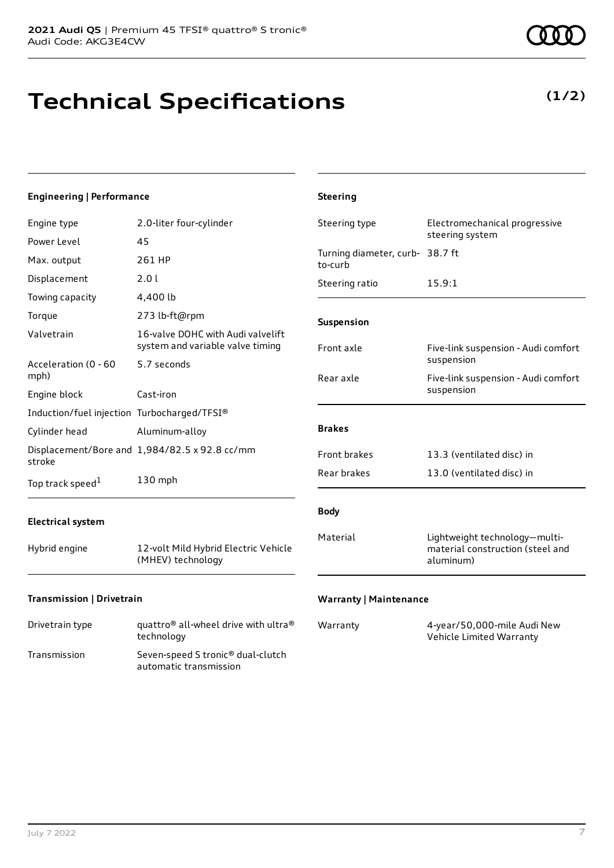# **Technical Specifications**

Max. output 261 HP Displacement 2.0 l Towing capacity 4,400 lb

Valvetrain 16-valve DOHC with Audi valvelift

Engine type 2.0-liter four-cylinder

Torque 273 lb-ft@rpm

system and variable valve timing Acceleration (0 - 60 mph) 5.7 seconds Engine block Cast-iron Induction/fuel injection Turbocharged/TFSI® Cylinder head Aluminum-alloy Displacement/Bore and 1,984/82.5 x 92.8 cc/mm stroke [1](#page-10-0) 130 mph

**Engineering | Performance**

Power Level 45

#### **Electrical system**

Top track speed<sup>1</sup>

Hybrid engine 12-volt Mild Hybrid Electric Vehicle (MHEV) technology

#### **Transmission | Drivetrain**

| Drivetrain type | quattro <sup>®</sup> all-wheel drive with ultra <sup>®</sup><br>technology |
|-----------------|----------------------------------------------------------------------------|
| Transmission    | Seven-speed S tronic <sup>®</sup> dual-clutch<br>automatic transmission    |

| Steering type                              | Electromechanical progressive<br>steering system                               |
|--------------------------------------------|--------------------------------------------------------------------------------|
| Turning diameter, curb- 38.7 ft<br>to-curb |                                                                                |
| Steering ratio                             | 15.9:1                                                                         |
| <b>Suspension</b>                          |                                                                                |
| Front axle                                 | Five-link suspension - Audi comfort<br>suspension                              |
| Rear axle                                  | Five-link suspension - Audi comfort<br>suspension                              |
| <b>Brakes</b>                              |                                                                                |
| <b>Front brakes</b>                        | 13.3 (ventilated disc) in                                                      |
| Rear brakes                                | 13.0 (ventilated disc) in                                                      |
| <b>Body</b>                                |                                                                                |
| Material                                   | Lightweight technology-multi-<br>material construction (steel and<br>aluminum) |

#### **Warranty | Maintenance**

**Steering**

| Warranty | 4-year/50,000-mile Audi New |
|----------|-----------------------------|
|          | Vehicle Limited Warranty    |

### **(1/2)**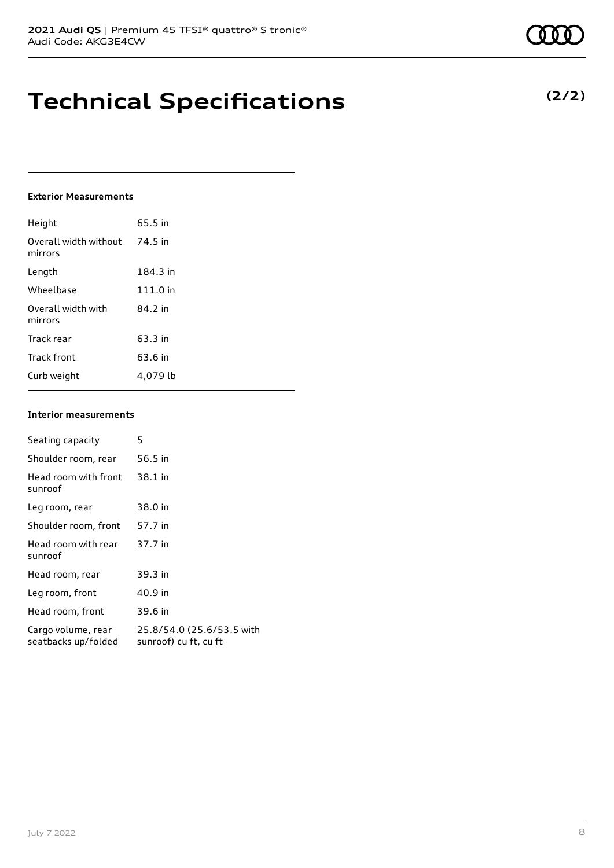## **Technical Specifications**

### **Exterior Measurements**

| Height                           | 65.5 in  |
|----------------------------------|----------|
| Overall width without<br>mirrors | 74.5 in  |
| Length                           | 184.3 in |
| Wheelbase                        | 111.0 in |
| Overall width with<br>mirrors    | 84.2 in  |
| Track rear                       | 63.3 in  |
| Track front                      | 63.6 in  |
| Curb weight                      | 4.079 lb |

#### **Interior measurements**

| Seating capacity                          | 5                                                  |
|-------------------------------------------|----------------------------------------------------|
| Shoulder room, rear                       | 56.5 in                                            |
| Head room with front<br>sunroof           | 38.1 in                                            |
| Leg room, rear                            | 38.0 in                                            |
| Shoulder room, front                      | 57.7 in                                            |
| Head room with rear<br>sunroof            | 37.7 in                                            |
| Head room, rear                           | 39.3 in                                            |
| Leg room, front                           | 40.9 in                                            |
| Head room, front                          | 39.6 in                                            |
| Cargo volume, rear<br>seatbacks up/folded | 25.8/54.0 (25.6/53.5 with<br>sunroof) cu ft, cu ft |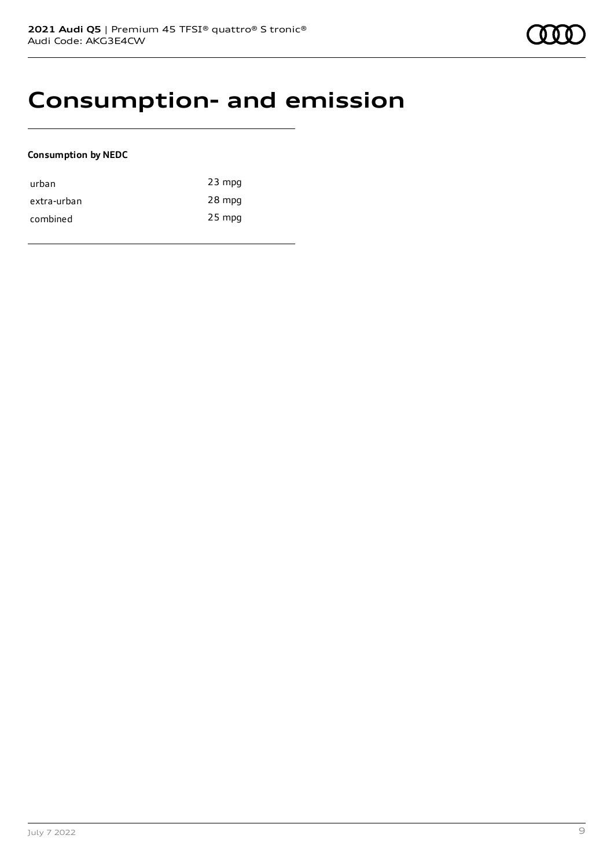### **Consumption- and emission**

### **Consumption by NEDC**

| urban       | $23$ mpg |
|-------------|----------|
| extra-urban | 28 mpg   |
| combined    | $25$ mpg |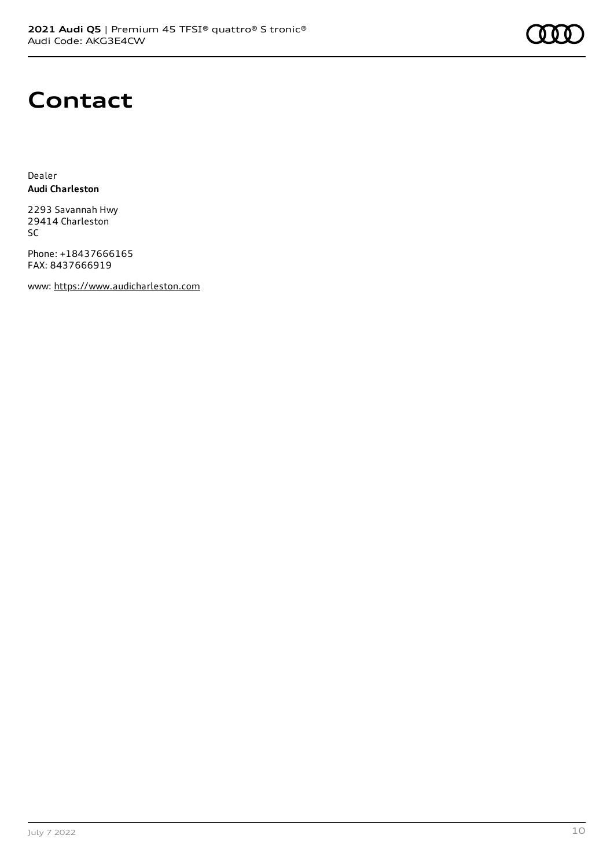

### **Contact**

Dealer **Audi Charleston**

2293 Savannah Hwy 29414 Charleston SC

Phone: +18437666165 FAX: 8437666919

www: [https://www.audicharleston.com](https://www.audicharleston.com/)